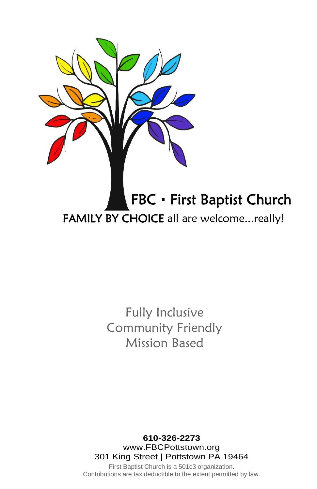

## Fully Inclusive Community Friendly Mission Based

#### **610-326-2273** www.FBCPottstown.org 301 King Street | Pottstown PA 19464

First Baptist Church is a 501c3 organization. Contributions are tax deductible to the extent permitted by law.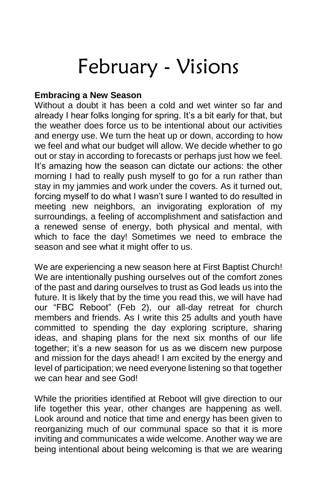# February - Visions

#### **Embracing a New Season**

Without a doubt it has been a cold and wet winter so far and already I hear folks longing for spring. It's a bit early for that, but the weather does force us to be intentional about our activities and energy use. We turn the heat up or down, according to how we feel and what our budget will allow. We decide whether to go out or stay in according to forecasts or perhaps just how we feel. It's amazing how the season can dictate our actions: the other morning I had to really push myself to go for a run rather than stay in my jammies and work under the covers. As it turned out, forcing myself to do what I wasn't sure I wanted to do resulted in meeting new neighbors, an invigorating exploration of my surroundings, a feeling of accomplishment and satisfaction and a renewed sense of energy, both physical and mental, with which to face the day! Sometimes we need to embrace the season and see what it might offer to us.

We are experiencing a new season here at First Baptist Church! We are intentionally pushing ourselves out of the comfort zones of the past and daring ourselves to trust as God leads us into the future. It is likely that by the time you read this, we will have had our "FBC Reboot" (Feb 2), our all-day retreat for church members and friends. As I write this 25 adults and youth have committed to spending the day exploring scripture, sharing ideas, and shaping plans for the next six months of our life together; it's a new season for us as we discern new purpose and mission for the days ahead! I am excited by the energy and level of participation; we need everyone listening so that together we can hear and see God!

While the priorities identified at Reboot will give direction to our life together this year, other changes are happening as well. Look around and notice that time and energy has been given to reorganizing much of our communal space so that it is more inviting and communicates a wide welcome. Another way we are being intentional about being welcoming is that we are wearing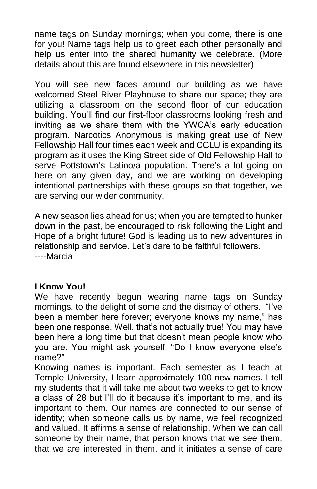name tags on Sunday mornings; when you come, there is one for you! Name tags help us to greet each other personally and help us enter into the shared humanity we celebrate. (More details about this are found elsewhere in this newsletter)

You will see new faces around our building as we have welcomed Steel River Playhouse to share our space; they are utilizing a classroom on the second floor of our education building. You'll find our first-floor classrooms looking fresh and inviting as we share them with the YWCA's early education program. Narcotics Anonymous is making great use of New Fellowship Hall four times each week and CCLU is expanding its program as it uses the King Street side of Old Fellowship Hall to serve Pottstown's Latino/a population. There's a lot going on here on any given day, and we are working on developing intentional partnerships with these groups so that together, we are serving our wider community.

A new season lies ahead for us; when you are tempted to hunker down in the past, be encouraged to risk following the Light and Hope of a bright future! God is leading us to new adventures in relationship and service. Let's dare to be faithful followers. ----Marcia

#### **I Know You!**

We have recently begun wearing name tags on Sunday mornings, to the delight of some and the dismay of others. "I've been a member here forever; everyone knows my name," has been one response. Well, that's not actually true! You may have been here a long time but that doesn't mean people know who you are. You might ask yourself, "Do I know everyone else's name?"

Knowing names is important. Each semester as I teach at Temple University, I learn approximately 100 new names. I tell my students that it will take me about two weeks to get to know a class of 28 but I'll do it because it's important to me, and its important to them. Our names are connected to our sense of identity; when someone calls us by name, we feel recognized and valued. It affirms a sense of relationship. When we can call someone by their name, that person knows that we see them, that we are interested in them, and it initiates a sense of care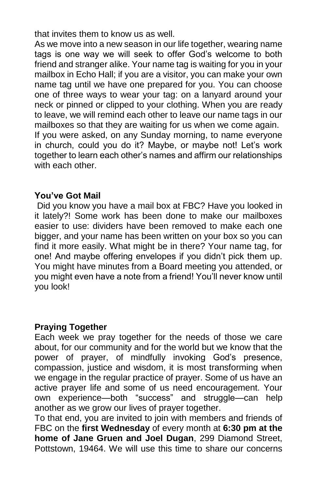that invites them to know us as well.

As we move into a new season in our life together, wearing name tags is one way we will seek to offer God's welcome to both friend and stranger alike. Your name tag is waiting for you in your mailbox in Echo Hall; if you are a visitor, you can make your own name tag until we have one prepared for you. You can choose one of three ways to wear your tag: on a lanyard around your neck or pinned or clipped to your clothing. When you are ready to leave, we will remind each other to leave our name tags in our mailboxes so that they are waiting for us when we come again. If you were asked, on any Sunday morning, to name everyone in church, could you do it? Maybe, or maybe not! Let's work together to learn each other's names and affirm our relationships with each other.

#### **You've Got Mail**

Did you know you have a mail box at FBC? Have you looked in it lately?! Some work has been done to make our mailboxes easier to use: dividers have been removed to make each one bigger, and your name has been written on your box so you can find it more easily. What might be in there? Your name tag, for one! And maybe offering envelopes if you didn't pick them up. You might have minutes from a Board meeting you attended, or you might even have a note from a friend! You'll never know until you look!

#### **Praying Together**

Each week we pray together for the needs of those we care about, for our community and for the world but we know that the power of prayer, of mindfully invoking God's presence, compassion, justice and wisdom, it is most transforming when we engage in the regular practice of prayer. Some of us have an active prayer life and some of us need encouragement. Your own experience—both "success" and struggle—can help another as we grow our lives of prayer together.

To that end, you are invited to join with members and friends of FBC on the **first Wednesday** of every month at **6:30 pm at the home of Jane Gruen and Joel Dugan**, 299 Diamond Street, Pottstown, 19464. We will use this time to share our concerns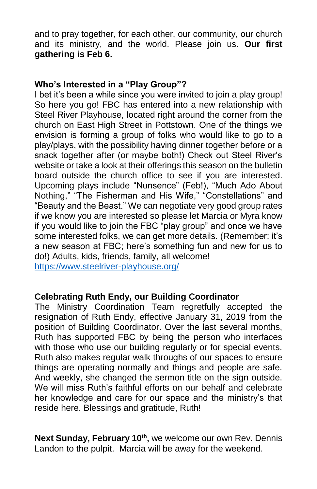and to pray together, for each other, our community, our church and its ministry, and the world. Please join us. **Our first gathering is Feb 6.**

#### **Who's Interested in a "Play Group"?**

I bet it's been a while since you were invited to join a play group! So here you go! FBC has entered into a new relationship with Steel River Playhouse, located right around the corner from the church on East High Street in Pottstown. One of the things we envision is forming a group of folks who would like to go to a play/plays, with the possibility having dinner together before or a snack together after (or maybe both!) Check out Steel River's website or take a look at their offerings this season on the bulletin board outside the church office to see if you are interested. Upcoming plays include "Nunsence" (Feb!), "Much Ado About Nothing," "The Fisherman and His Wife," "Constellations" and "Beauty and the Beast." We can negotiate very good group rates if we know you are interested so please let Marcia or Myra know if you would like to join the FBC "play group" and once we have some interested folks, we can get more details. (Remember: it's a new season at FBC; here's something fun and new for us to do!) Adults, kids, friends, family, all welcome! <https://www.steelriver-playhouse.org/>

#### **Celebrating Ruth Endy, our Building Coordinator**

The Ministry Coordination Team regretfully accepted the resignation of Ruth Endy, effective January 31, 2019 from the position of Building Coordinator. Over the last several months, Ruth has supported FBC by being the person who interfaces with those who use our building regularly or for special events. Ruth also makes regular walk throughs of our spaces to ensure things are operating normally and things and people are safe. And weekly, she changed the sermon title on the sign outside. We will miss Ruth's faithful efforts on our behalf and celebrate her knowledge and care for our space and the ministry's that reside here. Blessings and gratitude, Ruth!

**Next Sunday, February 10th ,** we welcome our own Rev. Dennis Landon to the pulpit. Marcia will be away for the weekend.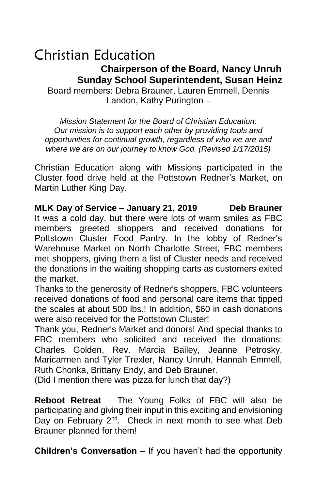#### Christian Education  **Chairperson of the Board, Nancy Unruh Sunday School Superintendent, Susan Heinz** Board members: Debra Brauner, Lauren Emmell, Dennis

Landon, Kathy Purington –

*Mission Statement for the Board of Christian Education: Our mission is to support each other by providing tools and opportunities for continual growth, regardless of who we are and where we are on our journey to know God. (Revised 1/17/2015)*

Christian Education along with Missions participated in the Cluster food drive held at the Pottstown Redner's Market, on Martin Luther King Day.

**MLK Day of Service – January 21, 2019 Deb Brauner** It was a cold day, but there were lots of warm smiles as FBC members greeted shoppers and received donations for Pottstown Cluster Food Pantry. In the lobby of Redner's Warehouse Market on North Charlotte Street, FBC members met shoppers, giving them a list of Cluster needs and received the donations in the waiting shopping carts as customers exited the market.

Thanks to the generosity of Redner's shoppers, FBC volunteers received donations of food and personal care items that tipped the scales at about 500 lbs.! In addition, \$60 in cash donations were also received for the Pottstown Cluster!

Thank you, Redner's Market and donors! And special thanks to FBC members who solicited and received the donations: Charles Golden, Rev. Marcia Bailey, Jeanne Petrosky, Maricarmen and Tyler Trexler, Nancy Unruh, Hannah Emmell, Ruth Chonka, Brittany Endy, and Deb Brauner.

(Did I mention there was pizza for lunch that day?)

**Reboot Retreat** – The Young Folks of FBC will also be participating and giving their input in this exciting and envisioning Day on February 2<sup>nd</sup>. Check in next month to see what Deb Brauner planned for them!

**Children's Conversation** – If you haven't had the opportunity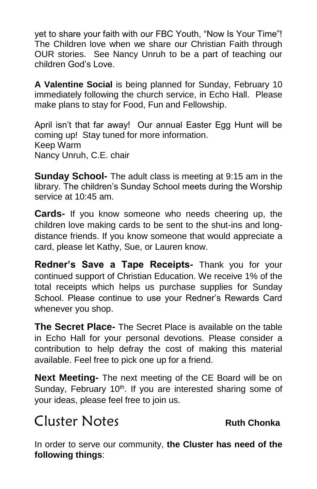yet to share your faith with our FBC Youth, "Now Is Your Time"! The Children love when we share our Christian Faith through OUR stories. See Nancy Unruh to be a part of teaching our children God's Love.

**A Valentine Social** is being planned for Sunday, February 10 immediately following the church service, in Echo Hall. Please make plans to stay for Food, Fun and Fellowship.

April isn't that far away! Our annual Easter Egg Hunt will be coming up! Stay tuned for more information. Keep Warm Nancy Unruh, C.E. chair

**Sunday School-** The adult class is meeting at 9:15 am in the library. The children's Sunday School meets during the Worship service at 10:45 am.

**Cards-** If you know someone who needs cheering up, the children love making cards to be sent to the shut-ins and longdistance friends. If you know someone that would appreciate a card, please let Kathy, Sue, or Lauren know.

**Redner's Save a Tape Receipts-** Thank you for your continued support of Christian Education. We receive 1% of the total receipts which helps us purchase supplies for Sunday School. Please continue to use your Redner's Rewards Card whenever you shop.

**The Secret Place-** The Secret Place is available on the table in Echo Hall for your personal devotions. Please consider a contribution to help defray the cost of making this material available. Feel free to pick one up for a friend.

**Next Meeting-** The next meeting of the CE Board will be on Sunday, February 10<sup>th</sup>. If you are interested sharing some of your ideas, please feel free to join us.

## Cluster Notes **Ruth Chonka**

In order to serve our community, **the Cluster has need of the following things**: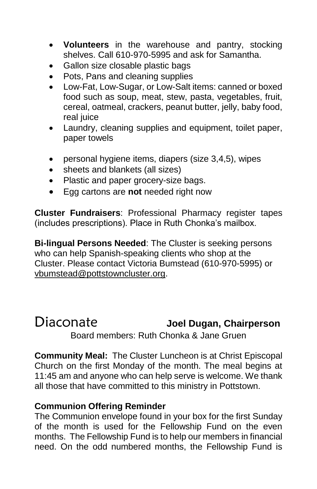- **Volunteers** in the warehouse and pantry, stocking shelves. Call 610-970-5995 and ask for Samantha.
- Gallon size closable plastic bags
- Pots, Pans and cleaning supplies
- Low-Fat, Low-Sugar, or Low-Salt items: canned or boxed food such as soup, meat, stew, pasta, vegetables, fruit, cereal, oatmeal, crackers, peanut butter, jelly, baby food, real juice
- Laundry, cleaning supplies and equipment, toilet paper, paper towels
- personal hygiene items, diapers (size 3,4,5), wipes
- sheets and blankets (all sizes)
- Plastic and paper grocery-size bags.
- Egg cartons are **not** needed right now

**Cluster Fundraisers**: Professional Pharmacy register tapes (includes prescriptions). Place in Ruth Chonka's mailbox.

**Bi-lingual Persons Needed**: The Cluster is seeking persons who can help Spanish-speaking clients who shop at the Cluster. Please contact Victoria Bumstead (610-970-5995) or [vbumstead@pottstowncluster.org.](mailto:vbumstead@pottstowncluster.org)

#### Diaconate **Joel Dugan, Chairperson** Board members: Ruth Chonka & Jane Gruen

**Community Meal:** The Cluster Luncheon is at Christ Episcopal Church on the first Monday of the month. The meal begins at 11:45 am and anyone who can help serve is welcome. We thank all those that have committed to this ministry in Pottstown.

#### **Communion Offering Reminder**

The Communion envelope found in your box for the first Sunday of the month is used for the Fellowship Fund on the even months. The Fellowship Fund is to help our members in financial need. On the odd numbered months, the Fellowship Fund is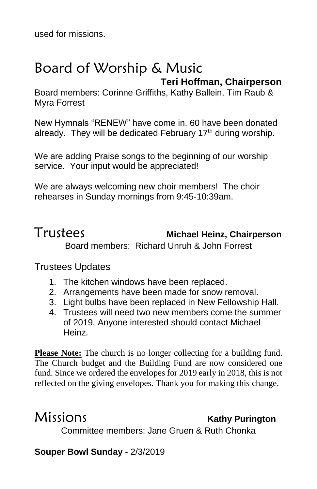used for missions.

### Board of Worship & Music  **Teri Hoffman, Chairperson**

Board members: Corinne Griffiths, Kathy Ballein, Tim Raub & Myra Forrest

New Hymnals "RENEW" have come in. 60 have been donated already. They will be dedicated February 17<sup>th</sup> during worship.

We are adding Praise songs to the beginning of our worship service. Your input would be appreciated!

We are always welcoming new choir members! The choir rehearses in Sunday mornings from 9:45-10:39am.

#### Trustees **Michael Heinz, Chairperson** Board members: Richard Unruh & John Forrest

Trustees Updates

- 1. The kitchen windows have been replaced.
- 2. Arrangements have been made for snow removal.
- 3. Light bulbs have been replaced in New Fellowship Hall.
- 4. Trustees will need two new members come the summer of 2019. Anyone interested should contact Michael Heinz.

**Please Note:** The church is no longer collecting for a building fund. The Church budget and the Building Fund are now considered one fund. Since we ordered the envelopes for 2019 early in 2018, this is not reflected on the giving envelopes. Thank you for making this change.

### Missions **Kathy Purington**

Committee members: Jane Gruen & Ruth Chonka

#### **Souper Bowl Sunday** - 2/3/2019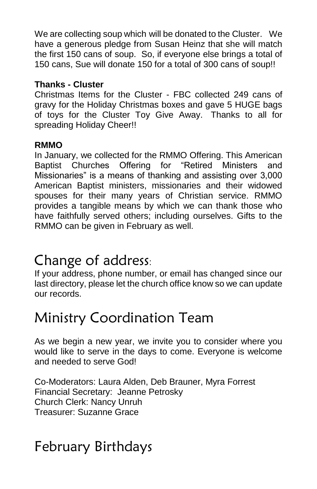We are collecting soup which will be donated to the Cluster. We have a generous pledge from Susan Heinz that she will match the first 150 cans of soup. So, if everyone else brings a total of 150 cans, Sue will donate 150 for a total of 300 cans of soup!!

#### **Thanks - Cluster**

Christmas Items for the Cluster - FBC collected 249 cans of gravy for the Holiday Christmas boxes and gave 5 HUGE bags of toys for the Cluster Toy Give Away. Thanks to all for spreading Holiday Cheer!!

#### **RMMO**

In January, we collected for the RMMO Offering. This American Baptist Churches Offering for "Retired Ministers and Missionaries" is a means of thanking and assisting over 3,000 American Baptist ministers, missionaries and their widowed spouses for their many years of Christian service. RMMO provides a tangible means by which we can thank those who have faithfully served others; including ourselves. Gifts to the RMMO can be given in February as well.

## Change of address:

If your address, phone number, or email has changed since our last directory, please let the church office know so we can update our records.

## Ministry Coordination Team

As we begin a new year, we invite you to consider where you would like to serve in the days to come. Everyone is welcome and needed to serve God!

Co-Moderators: Laura Alden, Deb Brauner, Myra Forrest Financial Secretary: Jeanne Petrosky Church Clerk: Nancy Unruh Treasurer: Suzanne Grace

## February Birthdays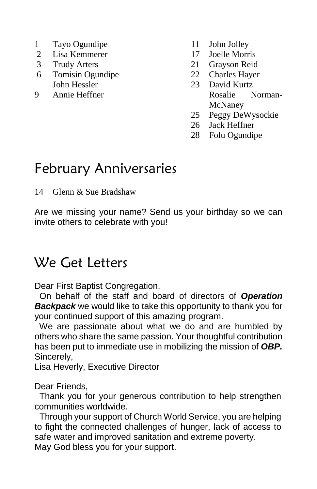- 1 Tayo Ogundipe
- 2 Lisa Kemmerer
- 3 Trudy Arters
- 6 Tomisin Ogundipe John Hessler
- 9 Annie Heffner
- 11 John Jolley
- 17 Joelle Morris
- 21 Grayson Reid
- 22 Charles Hayer
- 23 David Kurtz Rosalie Norman-McNaney
- 25 Peggy DeWysockie
- 26 Jack Heffner
- 28 Folu Ogundipe

## February Anniversaries

14 Glenn & Sue Bradshaw

Are we missing your name? Send us your birthday so we can invite others to celebrate with you!

## We Get Letters

Dear First Baptist Congregation,

 On behalf of the staff and board of directors of *Operation Backpack* we would like to take this opportunity to thank you for your continued support of this amazing program.

 We are passionate about what we do and are humbled by others who share the same passion. Your thoughtful contribution has been put to immediate use in mobilizing the mission of *OBP.* Sincerely,

Lisa Heverly, Executive Director

Dear Friends,

 Thank you for your generous contribution to help strengthen communities worldwide.

 Through your support of Church World Service, you are helping to fight the connected challenges of hunger, lack of access to safe water and improved sanitation and extreme poverty. May God bless you for your support.